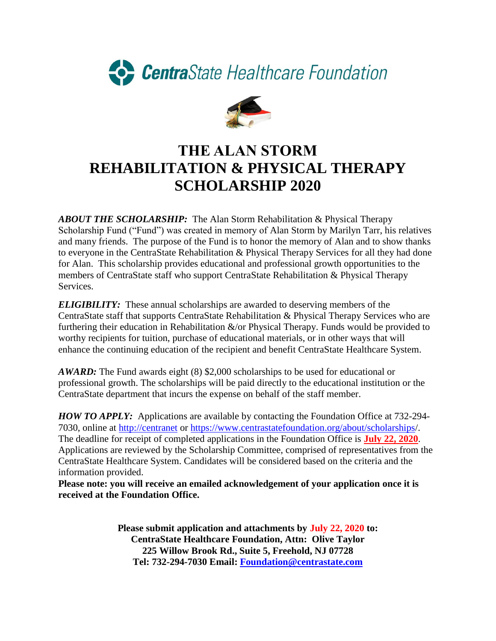



## **THE ALAN STORM REHABILITATION & PHYSICAL THERAPY SCHOLARSHIP 2020**

*ABOUT THE SCHOLARSHIP:* The Alan Storm Rehabilitation & Physical Therapy Scholarship Fund ("Fund") was created in memory of Alan Storm by Marilyn Tarr, his relatives and many friends. The purpose of the Fund is to honor the memory of Alan and to show thanks to everyone in the CentraState Rehabilitation & Physical Therapy Services for all they had done for Alan. This scholarship provides educational and professional growth opportunities to the members of CentraState staff who support CentraState Rehabilitation & Physical Therapy Services.

*ELIGIBILITY:* These annual scholarships are awarded to deserving members of the CentraState staff that supports CentraState Rehabilitation & Physical Therapy Services who are furthering their education in Rehabilitation  $\&$ /or Physical Therapy. Funds would be provided to worthy recipients for tuition, purchase of educational materials, or in other ways that will enhance the continuing education of the recipient and benefit CentraState Healthcare System.

*AWARD:* The Fund awards eight (8) \$2,000 scholarships to be used for educational or professional growth. The scholarships will be paid directly to the educational institution or the CentraState department that incurs the expense on behalf of the staff member.

*HOW TO APPLY:* Applications are available by contacting the Foundation Office at 732-294- 7030, online at [http://centranet](http://centranet/) or<https://www.centrastatefoundation.org/about/scholarships/>. The deadline for receipt of completed applications in the Foundation Office is **July 22, 2020**. Applications are reviewed by the Scholarship Committee, comprised of representatives from the CentraState Healthcare System. Candidates will be considered based on the criteria and the information provided.

**Please note: you will receive an emailed acknowledgement of your application once it is received at the Foundation Office.**

> **Please submit application and attachments by July 22, 2020 to: CentraState Healthcare Foundation, Attn: Olive Taylor 225 Willow Brook Rd., Suite 5, Freehold, NJ 07728 Tel: 732-294-7030 Email: [Foundation@centrastate.com](mailto:Foundation@centrastate.com)**